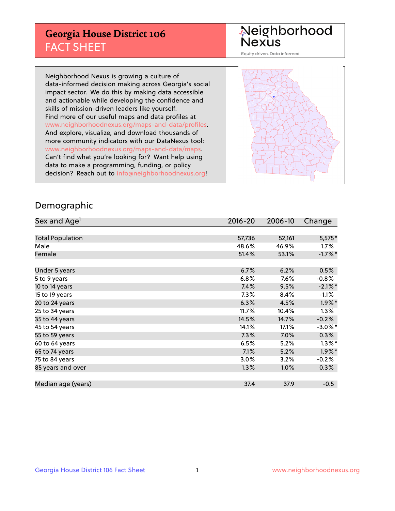## **Georgia House District 106** FACT SHEET

# Neighborhood<br>Nexus

Equity driven. Data informed.

Neighborhood Nexus is growing a culture of data-informed decision making across Georgia's social impact sector. We do this by making data accessible and actionable while developing the confidence and skills of mission-driven leaders like yourself. Find more of our useful maps and data profiles at www.neighborhoodnexus.org/maps-and-data/profiles. And explore, visualize, and download thousands of more community indicators with our DataNexus tool: www.neighborhoodnexus.org/maps-and-data/maps. Can't find what you're looking for? Want help using data to make a programming, funding, or policy decision? Reach out to [info@neighborhoodnexus.org!](mailto:info@neighborhoodnexus.org)



### Demographic

| Sex and Age <sup>1</sup> | 2016-20 | 2006-10 | Change     |
|--------------------------|---------|---------|------------|
|                          |         |         |            |
| <b>Total Population</b>  | 57,736  | 52,161  | 5,575*     |
| Male                     | 48.6%   | 46.9%   | $1.7\%$    |
| Female                   | 51.4%   | 53.1%   | $-1.7%$ *  |
|                          |         |         |            |
| Under 5 years            | 6.7%    | 6.2%    | 0.5%       |
| 5 to 9 years             | 6.8%    | $7.6\%$ | $-0.8%$    |
| 10 to 14 years           | 7.4%    | 9.5%    | $-2.1\%$ * |
| 15 to 19 years           | 7.3%    | 8.4%    | $-1.1%$    |
| 20 to 24 years           | 6.3%    | 4.5%    | $1.9\%$ *  |
| 25 to 34 years           | 11.7%   | 10.4%   | 1.3%       |
| 35 to 44 years           | 14.5%   | 14.7%   | $-0.2%$    |
| 45 to 54 years           | 14.1%   | 17.1%   | $-3.0\%$ * |
| 55 to 59 years           | 7.3%    | 7.0%    | 0.3%       |
| 60 to 64 years           | 6.5%    | 5.2%    | $1.3\%$ *  |
| 65 to 74 years           | 7.1%    | 5.2%    | $1.9\%$ *  |
| 75 to 84 years           | 3.0%    | 3.2%    | $-0.2%$    |
| 85 years and over        | 1.3%    | 1.0%    | $0.3\%$    |
|                          |         |         |            |
| Median age (years)       | 37.4    | 37.9    | $-0.5$     |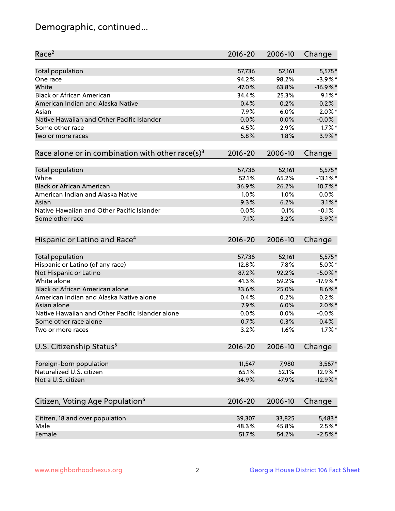## Demographic, continued...

| Race <sup>2</sup>                                            | $2016 - 20$ | 2006-10 | Change      |
|--------------------------------------------------------------|-------------|---------|-------------|
| Total population                                             | 57,736      | 52,161  | $5,575*$    |
| One race                                                     | 94.2%       | 98.2%   | $-3.9\%$ *  |
| White                                                        | 47.0%       | 63.8%   | $-16.9%$ *  |
| <b>Black or African American</b>                             | 34.4%       | 25.3%   | $9.1\%$ *   |
| American Indian and Alaska Native                            | 0.4%        | 0.2%    | 0.2%        |
| Asian                                                        | 7.9%        | 6.0%    | $2.0\%$ *   |
| Native Hawaiian and Other Pacific Islander                   | 0.0%        | 0.0%    | $-0.0%$     |
| Some other race                                              | 4.5%        | 2.9%    | $1.7\%$ *   |
| Two or more races                                            | 5.8%        | 1.8%    | $3.9\%$ *   |
| Race alone or in combination with other race(s) <sup>3</sup> | $2016 - 20$ | 2006-10 | Change      |
|                                                              |             |         |             |
| Total population                                             | 57,736      | 52,161  | $5,575*$    |
| White                                                        | 52.1%       | 65.2%   | $-13.1\%$ * |
| <b>Black or African American</b>                             | 36.9%       | 26.2%   | 10.7%*      |
| American Indian and Alaska Native                            | 1.0%        | 1.0%    | $0.0\%$     |
| Asian                                                        | 9.3%        | 6.2%    | $3.1\%$ *   |
| Native Hawaiian and Other Pacific Islander                   | 0.0%        | 0.1%    | $-0.1%$     |
| Some other race                                              | 7.1%        | 3.2%    | $3.9\%$ *   |
|                                                              |             |         |             |
| Hispanic or Latino and Race <sup>4</sup>                     | $2016 - 20$ | 2006-10 | Change      |
| Total population                                             | 57,736      | 52,161  | $5,575*$    |
| Hispanic or Latino (of any race)                             | 12.8%       | 7.8%    | $5.0\%$ *   |
| Not Hispanic or Latino                                       | 87.2%       | 92.2%   | $-5.0\%$ *  |
| White alone                                                  | 41.3%       | 59.2%   | $-17.9%$ *  |
| Black or African American alone                              | 33.6%       | 25.0%   | $8.6\%$ *   |
| American Indian and Alaska Native alone                      | 0.4%        | 0.2%    | 0.2%        |
| Asian alone                                                  | 7.9%        | 6.0%    | $2.0\%$ *   |
| Native Hawaiian and Other Pacific Islander alone             | 0.0%        | 0.0%    | $-0.0%$     |
| Some other race alone                                        | 0.7%        | 0.3%    | 0.4%        |
| Two or more races                                            | 3.2%        | 1.6%    | $1.7\%$ *   |
|                                                              |             |         |             |
| U.S. Citizenship Status <sup>5</sup>                         | $2016 - 20$ | 2006-10 | Change      |
| Foreign-born population                                      | 11,547      | 7,980   | $3,567*$    |
| Naturalized U.S. citizen                                     | 65.1%       | 52.1%   | 12.9%*      |
| Not a U.S. citizen                                           | 34.9%       | 47.9%   | $-12.9%$ *  |
|                                                              |             |         |             |
| Citizen, Voting Age Population <sup>6</sup>                  | $2016 - 20$ | 2006-10 | Change      |
| Citizen, 18 and over population                              | 39,307      | 33,825  | 5,483*      |
| Male                                                         | 48.3%       | 45.8%   | $2.5%$ *    |
| Female                                                       | 51.7%       | 54.2%   | $-2.5%$ *   |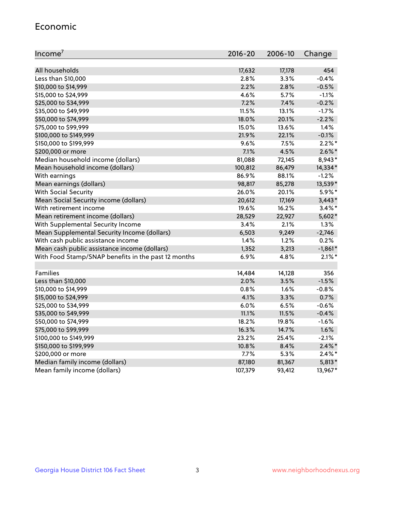#### Economic

| Income <sup>7</sup>                                 | 2016-20 | 2006-10 | Change    |
|-----------------------------------------------------|---------|---------|-----------|
|                                                     |         |         |           |
| All households                                      | 17,632  | 17,178  | 454       |
| Less than \$10,000                                  | 2.8%    | 3.3%    | $-0.4%$   |
| \$10,000 to \$14,999                                | 2.2%    | 2.8%    | $-0.5%$   |
| \$15,000 to \$24,999                                | 4.6%    | 5.7%    | $-1.1%$   |
| \$25,000 to \$34,999                                | 7.2%    | 7.4%    | $-0.2%$   |
| \$35,000 to \$49,999                                | 11.5%   | 13.1%   | $-1.7%$   |
| \$50,000 to \$74,999                                | 18.0%   | 20.1%   | $-2.2%$   |
| \$75,000 to \$99,999                                | 15.0%   | 13.6%   | 1.4%      |
| \$100,000 to \$149,999                              | 21.9%   | 22.1%   | $-0.1%$   |
| \$150,000 to \$199,999                              | 9.6%    | 7.5%    | $2.2\%$ * |
| \$200,000 or more                                   | 7.1%    | 4.5%    | $2.6\%$ * |
| Median household income (dollars)                   | 81,088  | 72,145  | 8,943*    |
| Mean household income (dollars)                     | 100,812 | 86,479  | 14,334*   |
| With earnings                                       | 86.9%   | 88.1%   | $-1.2%$   |
| Mean earnings (dollars)                             | 98,817  | 85,278  | 13,539*   |
| <b>With Social Security</b>                         | 26.0%   | 20.1%   | 5.9%*     |
| Mean Social Security income (dollars)               | 20,612  | 17,169  | $3,443*$  |
| With retirement income                              | 19.6%   | 16.2%   | $3.4\%$ * |
| Mean retirement income (dollars)                    | 28,529  | 22,927  | 5,602*    |
| With Supplemental Security Income                   | 3.4%    | 2.1%    | 1.3%      |
| Mean Supplemental Security Income (dollars)         | 6,503   | 9,249   | $-2,746$  |
| With cash public assistance income                  | 1.4%    | 1.2%    | 0.2%      |
| Mean cash public assistance income (dollars)        | 1,352   | 3,213   | $-1,861*$ |
| With Food Stamp/SNAP benefits in the past 12 months | 6.9%    | 4.8%    | $2.1\%$ * |
|                                                     |         |         |           |
| Families                                            | 14,484  | 14,128  | 356       |
| Less than \$10,000                                  | 2.0%    | 3.5%    | $-1.5%$   |
| \$10,000 to \$14,999                                | 0.8%    | 1.6%    | $-0.8%$   |
| \$15,000 to \$24,999                                | 4.1%    | 3.3%    | 0.7%      |
| \$25,000 to \$34,999                                | 6.0%    | 6.5%    | $-0.6%$   |
| \$35,000 to \$49,999                                | 11.1%   | 11.5%   | $-0.4%$   |
| \$50,000 to \$74,999                                | 18.2%   | 19.8%   | $-1.6%$   |
| \$75,000 to \$99,999                                | 16.3%   | 14.7%   | 1.6%      |
| \$100,000 to \$149,999                              | 23.2%   | 25.4%   | $-2.1%$   |
| \$150,000 to \$199,999                              | 10.8%   | 8.4%    | $2.4\%$ * |
| \$200,000 or more                                   | 7.7%    | 5.3%    | $2.4\%$ * |
| Median family income (dollars)                      | 87,180  | 81,367  | $5,813*$  |
| Mean family income (dollars)                        | 107,379 | 93,412  | 13,967*   |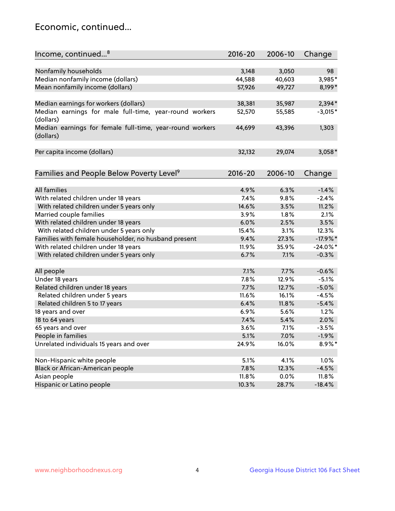## Economic, continued...

| Income, continued <sup>8</sup>                           | 2016-20 | 2006-10 | Change      |
|----------------------------------------------------------|---------|---------|-------------|
|                                                          |         |         |             |
| Nonfamily households                                     | 3,148   | 3,050   | 98          |
| Median nonfamily income (dollars)                        | 44,588  | 40,603  | 3,985*      |
| Mean nonfamily income (dollars)                          | 57,926  | 49,727  | 8,199*      |
|                                                          |         |         |             |
| Median earnings for workers (dollars)                    | 38,381  | 35,987  | $2,394*$    |
| Median earnings for male full-time, year-round workers   | 52,570  | 55,585  | $-3,015*$   |
| (dollars)                                                |         |         |             |
| Median earnings for female full-time, year-round workers | 44,699  | 43,396  | 1,303       |
| (dollars)                                                |         |         |             |
|                                                          |         |         |             |
| Per capita income (dollars)                              | 32,132  | 29,074  | $3,058*$    |
|                                                          |         |         |             |
| Families and People Below Poverty Level <sup>9</sup>     | 2016-20 | 2006-10 | Change      |
|                                                          |         |         |             |
| <b>All families</b>                                      | 4.9%    | 6.3%    | $-1.4%$     |
| With related children under 18 years                     | 7.4%    | 9.8%    | $-2.4%$     |
| With related children under 5 years only                 | 14.6%   | 3.5%    | 11.2%       |
| Married couple families                                  | 3.9%    | 1.8%    | 2.1%        |
| With related children under 18 years                     | 6.0%    | 2.5%    | 3.5%        |
| With related children under 5 years only                 | 15.4%   | 3.1%    | 12.3%       |
| Families with female householder, no husband present     | 9.4%    | 27.3%   | $-17.9%$    |
| With related children under 18 years                     | 11.9%   | 35.9%   | $-24.0\%$ * |
| With related children under 5 years only                 | 6.7%    | 7.1%    | $-0.3%$     |
|                                                          |         |         |             |
| All people                                               | 7.1%    | 7.7%    | $-0.6%$     |
| Under 18 years                                           | 7.8%    | 12.9%   | $-5.1%$     |
| Related children under 18 years                          | 7.7%    | 12.7%   | $-5.0%$     |
| Related children under 5 years                           | 11.6%   | 16.1%   | $-4.5%$     |
| Related children 5 to 17 years                           | 6.4%    | 11.8%   | $-5.4%$     |
| 18 years and over                                        | 6.9%    | 5.6%    | 1.2%        |
| 18 to 64 years                                           | 7.4%    | 5.4%    | 2.0%        |
| 65 years and over                                        | 3.6%    | 7.1%    | $-3.5%$     |
| People in families                                       | 5.1%    | 7.0%    | $-1.9%$     |
| Unrelated individuals 15 years and over                  | 24.9%   | 16.0%   | 8.9%*       |
|                                                          |         |         |             |
| Non-Hispanic white people                                | 5.1%    | 4.1%    | 1.0%        |
| Black or African-American people                         | 7.8%    | 12.3%   | $-4.5%$     |
| Asian people                                             | 11.8%   | 0.0%    | 11.8%       |
| Hispanic or Latino people                                | 10.3%   | 28.7%   | $-18.4%$    |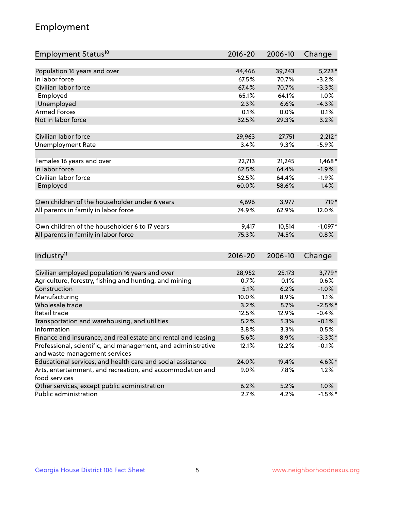## Employment

| Employment Status <sup>10</sup>                                             | $2016 - 20$ | 2006-10 | Change     |
|-----------------------------------------------------------------------------|-------------|---------|------------|
|                                                                             |             |         |            |
| Population 16 years and over                                                | 44,466      | 39,243  | $5,223*$   |
| In labor force                                                              | 67.5%       | 70.7%   | $-3.2%$    |
| Civilian labor force                                                        | 67.4%       | 70.7%   | $-3.3%$    |
| Employed                                                                    | 65.1%       | 64.1%   | 1.0%       |
| Unemployed                                                                  | 2.3%        | 6.6%    | $-4.3%$    |
| <b>Armed Forces</b>                                                         | 0.1%        | 0.0%    | 0.1%       |
| Not in labor force                                                          | 32.5%       | 29.3%   | 3.2%       |
|                                                                             |             |         |            |
| Civilian labor force                                                        | 29,963      | 27,751  | $2,212*$   |
| <b>Unemployment Rate</b>                                                    | 3.4%        | 9.3%    | $-5.9%$    |
| Females 16 years and over                                                   | 22,713      | 21,245  | $1,468*$   |
| In labor force                                                              | 62.5%       | 64.4%   | $-1.9%$    |
| Civilian labor force                                                        | 62.5%       | 64.4%   | $-1.9%$    |
| Employed                                                                    | 60.0%       | 58.6%   | 1.4%       |
|                                                                             |             |         |            |
| Own children of the householder under 6 years                               | 4,696       | 3,977   | 719*       |
| All parents in family in labor force                                        | 74.9%       | 62.9%   | 12.0%      |
|                                                                             |             |         |            |
| Own children of the householder 6 to 17 years                               | 9,417       | 10,514  | $-1,097*$  |
| All parents in family in labor force                                        | 75.3%       | 74.5%   | 0.8%       |
|                                                                             |             |         |            |
| Industry <sup>11</sup>                                                      | $2016 - 20$ | 2006-10 | Change     |
|                                                                             |             |         |            |
| Civilian employed population 16 years and over                              | 28,952      | 25,173  | $3,779*$   |
| Agriculture, forestry, fishing and hunting, and mining                      | 0.7%        | 0.1%    | 0.6%       |
| Construction                                                                | 5.1%        | 6.2%    | $-1.0%$    |
| Manufacturing                                                               | 10.0%       | 8.9%    | 1.1%       |
| Wholesale trade                                                             | 3.2%        | 5.7%    | $-2.5%$ *  |
| Retail trade                                                                | 12.5%       | 12.9%   | $-0.4%$    |
| Transportation and warehousing, and utilities                               | 5.2%        | 5.3%    | $-0.1%$    |
| Information                                                                 | 3.8%        | 3.3%    | 0.5%       |
| Finance and insurance, and real estate and rental and leasing               | 5.6%        | 8.9%    | $-3.3\%$ * |
| Professional, scientific, and management, and administrative                | 12.1%       | 12.2%   | $-0.1%$    |
| and waste management services                                               |             |         |            |
| Educational services, and health care and social assistance                 | 24.0%       | 19.4%   | 4.6%*      |
| Arts, entertainment, and recreation, and accommodation and<br>food services | 9.0%        | 7.8%    | 1.2%       |
| Other services, except public administration                                | 6.2%        | 5.2%    | 1.0%       |
| Public administration                                                       | 2.7%        | 4.2%    | $-1.5%$ *  |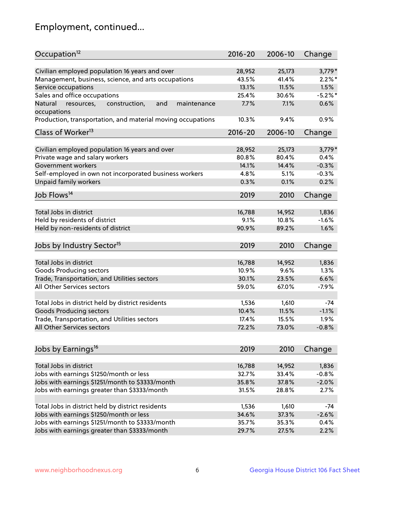## Employment, continued...

| Occupation <sup>12</sup>                                                    | $2016 - 20$ | 2006-10 | Change     |
|-----------------------------------------------------------------------------|-------------|---------|------------|
| Civilian employed population 16 years and over                              | 28,952      | 25,173  | $3,779*$   |
| Management, business, science, and arts occupations                         | 43.5%       | 41.4%   | $2.2\%$ *  |
| Service occupations                                                         | 13.1%       | 11.5%   | 1.5%       |
| Sales and office occupations                                                | 25.4%       | 30.6%   | $-5.2\%$ * |
|                                                                             |             |         | 0.6%       |
| and<br>Natural<br>resources,<br>construction,<br>maintenance<br>occupations | 7.7%        | 7.1%    |            |
| Production, transportation, and material moving occupations                 | 10.3%       | 9.4%    | 0.9%       |
| Class of Worker <sup>13</sup>                                               | $2016 - 20$ | 2006-10 | Change     |
|                                                                             |             |         |            |
| Civilian employed population 16 years and over                              | 28,952      | 25,173  | $3,779*$   |
| Private wage and salary workers                                             | 80.8%       | 80.4%   | 0.4%       |
| Government workers                                                          | 14.1%       | 14.4%   | $-0.3%$    |
| Self-employed in own not incorporated business workers                      | 4.8%        | 5.1%    | $-0.3%$    |
| Unpaid family workers                                                       | 0.3%        | 0.1%    | 0.2%       |
| Job Flows <sup>14</sup>                                                     | 2019        | 2010    | Change     |
|                                                                             |             |         |            |
| Total Jobs in district                                                      | 16,788      | 14,952  | 1,836      |
| Held by residents of district                                               | 9.1%        | 10.8%   | $-1.6%$    |
| Held by non-residents of district                                           | 90.9%       | 89.2%   | 1.6%       |
| Jobs by Industry Sector <sup>15</sup>                                       | 2019        | 2010    | Change     |
|                                                                             |             |         |            |
| Total Jobs in district                                                      | 16,788      | 14,952  | 1,836      |
| Goods Producing sectors                                                     | 10.9%       | 9.6%    | 1.3%       |
| Trade, Transportation, and Utilities sectors                                | 30.1%       | 23.5%   | 6.6%       |
| All Other Services sectors                                                  | 59.0%       | 67.0%   | $-7.9%$    |
| Total Jobs in district held by district residents                           | 1,536       | 1,610   | $-74$      |
| <b>Goods Producing sectors</b>                                              | 10.4%       | 11.5%   | $-1.1%$    |
| Trade, Transportation, and Utilities sectors                                | 17.4%       | 15.5%   | 1.9%       |
| All Other Services sectors                                                  | 72.2%       | 73.0%   | $-0.8%$    |
|                                                                             |             |         |            |
| Jobs by Earnings <sup>16</sup>                                              | 2019        | 2010    | Change     |
|                                                                             |             |         |            |
| Total Jobs in district                                                      | 16,788      | 14,952  | 1,836      |
| Jobs with earnings \$1250/month or less                                     | 32.7%       | 33.4%   | $-0.8%$    |
| Jobs with earnings \$1251/month to \$3333/month                             | 35.8%       | 37.8%   | $-2.0%$    |
| Jobs with earnings greater than \$3333/month                                | 31.5%       | 28.8%   | 2.7%       |
| Total Jobs in district held by district residents                           | 1,536       | 1,610   | $-74$      |
| Jobs with earnings \$1250/month or less                                     | 34.6%       | 37.3%   | $-2.6%$    |
| Jobs with earnings \$1251/month to \$3333/month                             | 35.7%       | 35.3%   | 0.4%       |
| Jobs with earnings greater than \$3333/month                                | 29.7%       | 27.5%   | 2.2%       |
|                                                                             |             |         |            |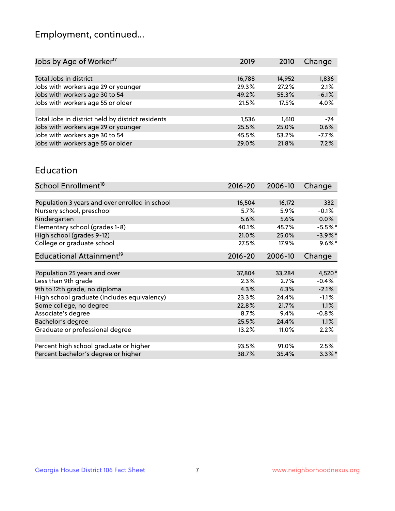## Employment, continued...

| Jobs by Age of Worker <sup>17</sup>               | 2019   | 2010   | Change  |
|---------------------------------------------------|--------|--------|---------|
|                                                   |        |        |         |
| Total Jobs in district                            | 16,788 | 14,952 | 1,836   |
| Jobs with workers age 29 or younger               | 29.3%  | 27.2%  | 2.1%    |
| Jobs with workers age 30 to 54                    | 49.2%  | 55.3%  | $-6.1%$ |
| Jobs with workers age 55 or older                 | 21.5%  | 17.5%  | 4.0%    |
|                                                   |        |        |         |
| Total Jobs in district held by district residents | 1,536  | 1.610  | -74     |
| Jobs with workers age 29 or younger               | 25.5%  | 25.0%  | 0.6%    |
| Jobs with workers age 30 to 54                    | 45.5%  | 53.2%  | $-7.7%$ |
| Jobs with workers age 55 or older                 | 29.0%  | 21.8%  | 7.2%    |
|                                                   |        |        |         |

#### Education

| School Enrollment <sup>18</sup>                | $2016 - 20$ | 2006-10  | Change     |
|------------------------------------------------|-------------|----------|------------|
|                                                |             |          |            |
| Population 3 years and over enrolled in school | 16,504      | 16,172   | 332        |
| Nursery school, preschool                      | 5.7%        | 5.9%     | $-0.1%$    |
| Kindergarten                                   | 5.6%        | 5.6%     | $0.0\%$    |
| Elementary school (grades 1-8)                 | 40.1%       | 45.7%    | $-5.5%$ *  |
| High school (grades 9-12)                      | 21.0%       | 25.0%    | $-3.9\%$ * |
| College or graduate school                     | 27.5%       | 17.9%    | $9.6\%$ *  |
| Educational Attainment <sup>19</sup>           | $2016 - 20$ | 2006-10  | Change     |
|                                                |             |          |            |
| Population 25 years and over                   | 37,804      | 33,284   | 4,520*     |
| Less than 9th grade                            | 2.3%        | 2.7%     | $-0.4%$    |
| 9th to 12th grade, no diploma                  | 4.3%        | 6.3%     | $-2.1%$    |
| High school graduate (includes equivalency)    | 23.3%       | 24.4%    | $-1.1%$    |
| Some college, no degree                        | 22.8%       | 21.7%    | 1.1%       |
| Associate's degree                             | 8.7%        | 9.4%     | $-0.8%$    |
| Bachelor's degree                              | 25.5%       | 24.4%    | 1.1%       |
| Graduate or professional degree                | 13.2%       | $11.0\%$ | 2.2%       |
|                                                |             |          |            |
| Percent high school graduate or higher         | 93.5%       | 91.0%    | 2.5%       |
| Percent bachelor's degree or higher            | 38.7%       | 35.4%    | $3.3\%$ *  |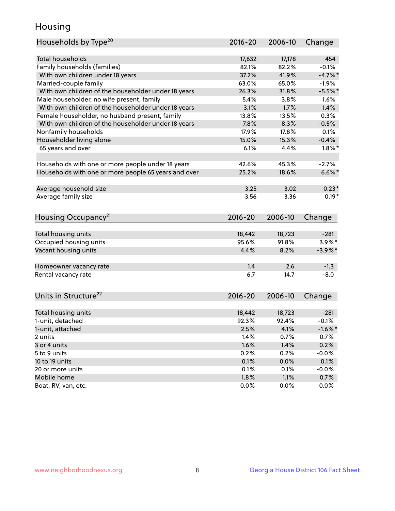## Housing

| <b>Total households</b><br>17,632<br>17,178<br>454<br>Family households (families)<br>$-0.1%$<br>82.1%<br>82.2%<br>37.2%<br>With own children under 18 years<br>41.9%<br>$-4.7%$<br>Married-couple family<br>63.0%<br>65.0%<br>$-1.9%$<br>With own children of the householder under 18 years<br>26.3%<br>31.8%<br>$-5.5%$ *<br>Male householder, no wife present, family<br>5.4%<br>3.8%<br>1.6%<br>With own children of the householder under 18 years<br>3.1%<br>1.7%<br>1.4%<br>Female householder, no husband present, family<br>13.8%<br>13.5%<br>0.3%<br>With own children of the householder under 18 years<br>7.8%<br>$-0.5%$<br>8.3%<br>Nonfamily households<br>17.9%<br>17.8%<br>0.1%<br>Householder living alone<br>15.0%<br>$-0.4%$<br>15.3%<br>65 years and over<br>6.1%<br>$1.8\%$ *<br>4.4%<br>Households with one or more people under 18 years<br>42.6%<br>45.3%<br>$-2.7%$<br>Households with one or more people 65 years and over<br>25.2%<br>18.6%<br>$6.6\%$ *<br>Average household size<br>3.25<br>3.02<br>$0.23*$<br>Average family size<br>$0.19*$<br>3.56<br>3.36<br>Housing Occupancy <sup>21</sup><br>$2016 - 20$<br>2006-10<br>Change<br>Total housing units<br>18,442<br>18,723<br>$-281$<br>Occupied housing units<br>95.6%<br>91.8%<br>$3.9\%$ *<br>Vacant housing units<br>4.4%<br>8.2%<br>$-3.9\%$ *<br>1.4<br>2.6<br>$-1.3$<br>Homeowner vacancy rate<br>6.7<br>$-8.0$<br>Rental vacancy rate<br>14.7<br>Units in Structure <sup>22</sup><br>$2016 - 20$<br>2006-10<br>Change<br>Total housing units<br>18,442<br>18,723<br>$-281$<br>1-unit, detached<br>92.3%<br>92.4%<br>$-0.1%$<br>1-unit, attached<br>2.5%<br>4.1%<br>$-1.6\%$ *<br>1.4%<br>0.7%<br>0.7%<br>2 units<br>1.6%<br>0.2%<br>3 or 4 units<br>1.4%<br>5 to 9 units<br>0.2%<br>0.2%<br>$-0.0%$<br>0.1%<br>10 to 19 units<br>0.0%<br>0.1%<br>0.1%<br>20 or more units<br>0.1%<br>$-0.0%$<br>1.8%<br>Mobile home<br>1.1%<br>0.7% | Households by Type <sup>20</sup> | $2016 - 20$ | 2006-10 | Change |
|--------------------------------------------------------------------------------------------------------------------------------------------------------------------------------------------------------------------------------------------------------------------------------------------------------------------------------------------------------------------------------------------------------------------------------------------------------------------------------------------------------------------------------------------------------------------------------------------------------------------------------------------------------------------------------------------------------------------------------------------------------------------------------------------------------------------------------------------------------------------------------------------------------------------------------------------------------------------------------------------------------------------------------------------------------------------------------------------------------------------------------------------------------------------------------------------------------------------------------------------------------------------------------------------------------------------------------------------------------------------------------------------------------------------------------------------------------------------------------------------------------------------------------------------------------------------------------------------------------------------------------------------------------------------------------------------------------------------------------------------------------------------------------------------------------------------------------------------------------------------------------------------------------------------------------|----------------------------------|-------------|---------|--------|
|                                                                                                                                                                                                                                                                                                                                                                                                                                                                                                                                                                                                                                                                                                                                                                                                                                                                                                                                                                                                                                                                                                                                                                                                                                                                                                                                                                                                                                                                                                                                                                                                                                                                                                                                                                                                                                                                                                                                |                                  |             |         |        |
|                                                                                                                                                                                                                                                                                                                                                                                                                                                                                                                                                                                                                                                                                                                                                                                                                                                                                                                                                                                                                                                                                                                                                                                                                                                                                                                                                                                                                                                                                                                                                                                                                                                                                                                                                                                                                                                                                                                                |                                  |             |         |        |
|                                                                                                                                                                                                                                                                                                                                                                                                                                                                                                                                                                                                                                                                                                                                                                                                                                                                                                                                                                                                                                                                                                                                                                                                                                                                                                                                                                                                                                                                                                                                                                                                                                                                                                                                                                                                                                                                                                                                |                                  |             |         |        |
|                                                                                                                                                                                                                                                                                                                                                                                                                                                                                                                                                                                                                                                                                                                                                                                                                                                                                                                                                                                                                                                                                                                                                                                                                                                                                                                                                                                                                                                                                                                                                                                                                                                                                                                                                                                                                                                                                                                                |                                  |             |         |        |
|                                                                                                                                                                                                                                                                                                                                                                                                                                                                                                                                                                                                                                                                                                                                                                                                                                                                                                                                                                                                                                                                                                                                                                                                                                                                                                                                                                                                                                                                                                                                                                                                                                                                                                                                                                                                                                                                                                                                |                                  |             |         |        |
|                                                                                                                                                                                                                                                                                                                                                                                                                                                                                                                                                                                                                                                                                                                                                                                                                                                                                                                                                                                                                                                                                                                                                                                                                                                                                                                                                                                                                                                                                                                                                                                                                                                                                                                                                                                                                                                                                                                                |                                  |             |         |        |
|                                                                                                                                                                                                                                                                                                                                                                                                                                                                                                                                                                                                                                                                                                                                                                                                                                                                                                                                                                                                                                                                                                                                                                                                                                                                                                                                                                                                                                                                                                                                                                                                                                                                                                                                                                                                                                                                                                                                |                                  |             |         |        |
|                                                                                                                                                                                                                                                                                                                                                                                                                                                                                                                                                                                                                                                                                                                                                                                                                                                                                                                                                                                                                                                                                                                                                                                                                                                                                                                                                                                                                                                                                                                                                                                                                                                                                                                                                                                                                                                                                                                                |                                  |             |         |        |
|                                                                                                                                                                                                                                                                                                                                                                                                                                                                                                                                                                                                                                                                                                                                                                                                                                                                                                                                                                                                                                                                                                                                                                                                                                                                                                                                                                                                                                                                                                                                                                                                                                                                                                                                                                                                                                                                                                                                |                                  |             |         |        |
|                                                                                                                                                                                                                                                                                                                                                                                                                                                                                                                                                                                                                                                                                                                                                                                                                                                                                                                                                                                                                                                                                                                                                                                                                                                                                                                                                                                                                                                                                                                                                                                                                                                                                                                                                                                                                                                                                                                                |                                  |             |         |        |
|                                                                                                                                                                                                                                                                                                                                                                                                                                                                                                                                                                                                                                                                                                                                                                                                                                                                                                                                                                                                                                                                                                                                                                                                                                                                                                                                                                                                                                                                                                                                                                                                                                                                                                                                                                                                                                                                                                                                |                                  |             |         |        |
|                                                                                                                                                                                                                                                                                                                                                                                                                                                                                                                                                                                                                                                                                                                                                                                                                                                                                                                                                                                                                                                                                                                                                                                                                                                                                                                                                                                                                                                                                                                                                                                                                                                                                                                                                                                                                                                                                                                                |                                  |             |         |        |
|                                                                                                                                                                                                                                                                                                                                                                                                                                                                                                                                                                                                                                                                                                                                                                                                                                                                                                                                                                                                                                                                                                                                                                                                                                                                                                                                                                                                                                                                                                                                                                                                                                                                                                                                                                                                                                                                                                                                |                                  |             |         |        |
|                                                                                                                                                                                                                                                                                                                                                                                                                                                                                                                                                                                                                                                                                                                                                                                                                                                                                                                                                                                                                                                                                                                                                                                                                                                                                                                                                                                                                                                                                                                                                                                                                                                                                                                                                                                                                                                                                                                                |                                  |             |         |        |
|                                                                                                                                                                                                                                                                                                                                                                                                                                                                                                                                                                                                                                                                                                                                                                                                                                                                                                                                                                                                                                                                                                                                                                                                                                                                                                                                                                                                                                                                                                                                                                                                                                                                                                                                                                                                                                                                                                                                |                                  |             |         |        |
|                                                                                                                                                                                                                                                                                                                                                                                                                                                                                                                                                                                                                                                                                                                                                                                                                                                                                                                                                                                                                                                                                                                                                                                                                                                                                                                                                                                                                                                                                                                                                                                                                                                                                                                                                                                                                                                                                                                                |                                  |             |         |        |
|                                                                                                                                                                                                                                                                                                                                                                                                                                                                                                                                                                                                                                                                                                                                                                                                                                                                                                                                                                                                                                                                                                                                                                                                                                                                                                                                                                                                                                                                                                                                                                                                                                                                                                                                                                                                                                                                                                                                |                                  |             |         |        |
|                                                                                                                                                                                                                                                                                                                                                                                                                                                                                                                                                                                                                                                                                                                                                                                                                                                                                                                                                                                                                                                                                                                                                                                                                                                                                                                                                                                                                                                                                                                                                                                                                                                                                                                                                                                                                                                                                                                                |                                  |             |         |        |
|                                                                                                                                                                                                                                                                                                                                                                                                                                                                                                                                                                                                                                                                                                                                                                                                                                                                                                                                                                                                                                                                                                                                                                                                                                                                                                                                                                                                                                                                                                                                                                                                                                                                                                                                                                                                                                                                                                                                |                                  |             |         |        |
|                                                                                                                                                                                                                                                                                                                                                                                                                                                                                                                                                                                                                                                                                                                                                                                                                                                                                                                                                                                                                                                                                                                                                                                                                                                                                                                                                                                                                                                                                                                                                                                                                                                                                                                                                                                                                                                                                                                                |                                  |             |         |        |
|                                                                                                                                                                                                                                                                                                                                                                                                                                                                                                                                                                                                                                                                                                                                                                                                                                                                                                                                                                                                                                                                                                                                                                                                                                                                                                                                                                                                                                                                                                                                                                                                                                                                                                                                                                                                                                                                                                                                |                                  |             |         |        |
|                                                                                                                                                                                                                                                                                                                                                                                                                                                                                                                                                                                                                                                                                                                                                                                                                                                                                                                                                                                                                                                                                                                                                                                                                                                                                                                                                                                                                                                                                                                                                                                                                                                                                                                                                                                                                                                                                                                                |                                  |             |         |        |
|                                                                                                                                                                                                                                                                                                                                                                                                                                                                                                                                                                                                                                                                                                                                                                                                                                                                                                                                                                                                                                                                                                                                                                                                                                                                                                                                                                                                                                                                                                                                                                                                                                                                                                                                                                                                                                                                                                                                |                                  |             |         |        |
|                                                                                                                                                                                                                                                                                                                                                                                                                                                                                                                                                                                                                                                                                                                                                                                                                                                                                                                                                                                                                                                                                                                                                                                                                                                                                                                                                                                                                                                                                                                                                                                                                                                                                                                                                                                                                                                                                                                                |                                  |             |         |        |
|                                                                                                                                                                                                                                                                                                                                                                                                                                                                                                                                                                                                                                                                                                                                                                                                                                                                                                                                                                                                                                                                                                                                                                                                                                                                                                                                                                                                                                                                                                                                                                                                                                                                                                                                                                                                                                                                                                                                |                                  |             |         |        |
|                                                                                                                                                                                                                                                                                                                                                                                                                                                                                                                                                                                                                                                                                                                                                                                                                                                                                                                                                                                                                                                                                                                                                                                                                                                                                                                                                                                                                                                                                                                                                                                                                                                                                                                                                                                                                                                                                                                                |                                  |             |         |        |
|                                                                                                                                                                                                                                                                                                                                                                                                                                                                                                                                                                                                                                                                                                                                                                                                                                                                                                                                                                                                                                                                                                                                                                                                                                                                                                                                                                                                                                                                                                                                                                                                                                                                                                                                                                                                                                                                                                                                |                                  |             |         |        |
|                                                                                                                                                                                                                                                                                                                                                                                                                                                                                                                                                                                                                                                                                                                                                                                                                                                                                                                                                                                                                                                                                                                                                                                                                                                                                                                                                                                                                                                                                                                                                                                                                                                                                                                                                                                                                                                                                                                                |                                  |             |         |        |
|                                                                                                                                                                                                                                                                                                                                                                                                                                                                                                                                                                                                                                                                                                                                                                                                                                                                                                                                                                                                                                                                                                                                                                                                                                                                                                                                                                                                                                                                                                                                                                                                                                                                                                                                                                                                                                                                                                                                |                                  |             |         |        |
|                                                                                                                                                                                                                                                                                                                                                                                                                                                                                                                                                                                                                                                                                                                                                                                                                                                                                                                                                                                                                                                                                                                                                                                                                                                                                                                                                                                                                                                                                                                                                                                                                                                                                                                                                                                                                                                                                                                                |                                  |             |         |        |
|                                                                                                                                                                                                                                                                                                                                                                                                                                                                                                                                                                                                                                                                                                                                                                                                                                                                                                                                                                                                                                                                                                                                                                                                                                                                                                                                                                                                                                                                                                                                                                                                                                                                                                                                                                                                                                                                                                                                |                                  |             |         |        |
|                                                                                                                                                                                                                                                                                                                                                                                                                                                                                                                                                                                                                                                                                                                                                                                                                                                                                                                                                                                                                                                                                                                                                                                                                                                                                                                                                                                                                                                                                                                                                                                                                                                                                                                                                                                                                                                                                                                                |                                  |             |         |        |
|                                                                                                                                                                                                                                                                                                                                                                                                                                                                                                                                                                                                                                                                                                                                                                                                                                                                                                                                                                                                                                                                                                                                                                                                                                                                                                                                                                                                                                                                                                                                                                                                                                                                                                                                                                                                                                                                                                                                |                                  |             |         |        |
|                                                                                                                                                                                                                                                                                                                                                                                                                                                                                                                                                                                                                                                                                                                                                                                                                                                                                                                                                                                                                                                                                                                                                                                                                                                                                                                                                                                                                                                                                                                                                                                                                                                                                                                                                                                                                                                                                                                                |                                  |             |         |        |
|                                                                                                                                                                                                                                                                                                                                                                                                                                                                                                                                                                                                                                                                                                                                                                                                                                                                                                                                                                                                                                                                                                                                                                                                                                                                                                                                                                                                                                                                                                                                                                                                                                                                                                                                                                                                                                                                                                                                |                                  |             |         |        |
|                                                                                                                                                                                                                                                                                                                                                                                                                                                                                                                                                                                                                                                                                                                                                                                                                                                                                                                                                                                                                                                                                                                                                                                                                                                                                                                                                                                                                                                                                                                                                                                                                                                                                                                                                                                                                                                                                                                                |                                  |             |         |        |
|                                                                                                                                                                                                                                                                                                                                                                                                                                                                                                                                                                                                                                                                                                                                                                                                                                                                                                                                                                                                                                                                                                                                                                                                                                                                                                                                                                                                                                                                                                                                                                                                                                                                                                                                                                                                                                                                                                                                | Boat, RV, van, etc.              | 0.0%        | 0.0%    | 0.0%   |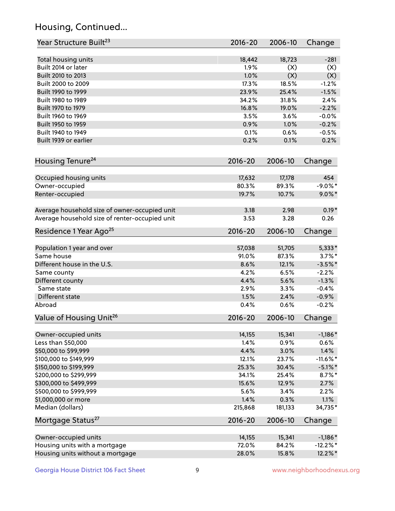## Housing, Continued...

| Year Structure Built <sup>23</sup>             | 2016-20         | 2006-10         | Change                |
|------------------------------------------------|-----------------|-----------------|-----------------------|
| Total housing units                            | 18,442          | 18,723          | $-281$                |
| Built 2014 or later                            | 1.9%            | (X)             | (X)                   |
| Built 2010 to 2013                             | 1.0%            | (X)             | (X)                   |
| Built 2000 to 2009                             | 17.3%           | 18.5%           | $-1.2%$               |
|                                                |                 |                 |                       |
| Built 1990 to 1999                             | 23.9%<br>34.2%  | 25.4%           | $-1.5%$               |
| Built 1980 to 1989                             |                 | 31.8%           | 2.4%                  |
| Built 1970 to 1979                             | 16.8%           | 19.0%           | $-2.2%$               |
| Built 1960 to 1969                             | 3.5%            | 3.6%            | $-0.0%$               |
| Built 1950 to 1959                             | 0.9%            | 1.0%            | $-0.2%$               |
| Built 1940 to 1949                             | 0.1%            | 0.6%            | $-0.5%$               |
| Built 1939 or earlier                          | 0.2%            | 0.1%            | 0.2%                  |
| Housing Tenure <sup>24</sup>                   | $2016 - 20$     | 2006-10         | Change                |
| Occupied housing units                         | 17,632          | 17,178          | 454                   |
| Owner-occupied                                 | 80.3%           | 89.3%           | $-9.0\%$ *            |
| Renter-occupied                                | 19.7%           | 10.7%           | $9.0\%$ *             |
| Average household size of owner-occupied unit  | 3.18            | 2.98            | $0.19*$               |
| Average household size of renter-occupied unit | 3.53            | 3.28            | 0.26                  |
| Residence 1 Year Ago <sup>25</sup>             | 2016-20         | 2006-10         | Change                |
|                                                |                 |                 |                       |
| Population 1 year and over<br>Same house       | 57,038<br>91.0% | 51,705<br>87.3% | $5,333*$<br>$3.7\%$ * |
|                                                |                 |                 |                       |
| Different house in the U.S.                    | 8.6%            | 12.1%           | $-3.5%$ *             |
| Same county                                    | 4.2%            | 6.5%            | $-2.2%$               |
| Different county                               | 4.4%            | 5.6%            | $-1.3%$               |
| Same state                                     | 2.9%            | 3.3%            | $-0.4%$               |
| Different state                                | 1.5%            | 2.4%            | $-0.9%$               |
| Abroad                                         | 0.4%            | 0.6%            | $-0.2%$               |
| Value of Housing Unit <sup>26</sup>            | $2016 - 20$     | 2006-10         | Change                |
| Owner-occupied units                           | 14,155          | 15,341          | $-1,186*$             |
| Less than \$50,000                             | 1.4%            | 0.9%            | 0.6%                  |
| \$50,000 to \$99,999                           | 4.4%            | 3.0%            | 1.4%                  |
| \$100,000 to \$149,999                         | 12.1%           | 23.7%           | $-11.6\%$ *           |
| \$150,000 to \$199,999                         | 25.3%           | 30.4%           | $-5.1\%$ *            |
| \$200,000 to \$299,999                         | 34.1%           | 25.4%           | $8.7\%$ *             |
| \$300,000 to \$499,999                         | 15.6%           | 12.9%           | 2.7%                  |
| \$500,000 to \$999,999                         | 5.6%            | 3.4%            | 2.2%                  |
| \$1,000,000 or more                            | 1.4%            | 0.3%            | 1.1%                  |
| Median (dollars)                               | 215,868         | 181,133         | 34,735*               |
| Mortgage Status <sup>27</sup>                  | $2016 - 20$     | 2006-10         | Change                |
| Owner-occupied units                           | 14,155          | 15,341          | $-1,186*$             |
| Housing units with a mortgage                  | 72.0%           | 84.2%           | $-12.2\%$ *           |
| Housing units without a mortgage               | 28.0%           | 15.8%           | 12.2%*                |
|                                                |                 |                 |                       |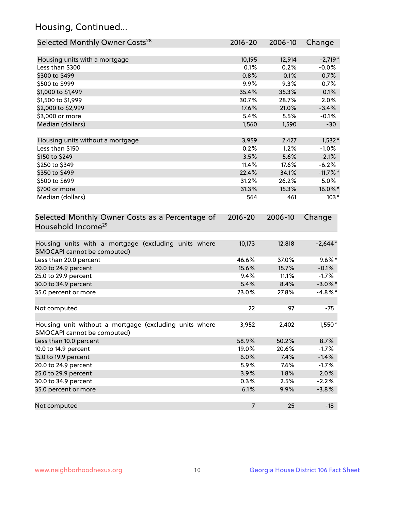## Housing, Continued...

| Selected Monthly Owner Costs <sup>28</sup>                                            | $2016 - 20$    | 2006-10 | Change      |
|---------------------------------------------------------------------------------------|----------------|---------|-------------|
| Housing units with a mortgage                                                         | 10,195         | 12,914  | $-2,719*$   |
| Less than \$300                                                                       | 0.1%           | 0.2%    | $-0.0%$     |
| \$300 to \$499                                                                        | 0.8%           | 0.1%    | 0.7%        |
| \$500 to \$999                                                                        | 9.9%           | 9.3%    | 0.7%        |
| \$1,000 to \$1,499                                                                    | 35.4%          | 35.3%   | 0.1%        |
| \$1,500 to \$1,999                                                                    | 30.7%          | 28.7%   | 2.0%        |
| \$2,000 to \$2,999                                                                    | 17.6%          | 21.0%   | $-3.4%$     |
| \$3,000 or more                                                                       | 5.4%           | 5.5%    | $-0.1%$     |
| Median (dollars)                                                                      | 1,560          | 1,590   | $-30$       |
| Housing units without a mortgage                                                      | 3,959          | 2,427   | $1,532*$    |
| Less than \$150                                                                       | 0.2%           | 1.2%    | $-1.0%$     |
| \$150 to \$249                                                                        | 3.5%           | 5.6%    | $-2.1%$     |
| \$250 to \$349                                                                        | 11.4%          | 17.6%   | $-6.2%$     |
| \$350 to \$499                                                                        | 22.4%          | 34.1%   | $-11.7\%$ * |
| \$500 to \$699                                                                        | 31.2%          | 26.2%   | 5.0%        |
| \$700 or more                                                                         | 31.3%          | 15.3%   | 16.0%*      |
| Median (dollars)                                                                      | 564            | 461     | $103*$      |
| Selected Monthly Owner Costs as a Percentage of<br>Household Income <sup>29</sup>     | $2016 - 20$    | 2006-10 | Change      |
| Housing units with a mortgage (excluding units where<br>SMOCAPI cannot be computed)   | 10,173         | 12,818  | $-2,644*$   |
| Less than 20.0 percent                                                                | 46.6%          | 37.0%   | $9.6\%*$    |
| 20.0 to 24.9 percent                                                                  | 15.6%          | 15.7%   | $-0.1%$     |
| 25.0 to 29.9 percent                                                                  | 9.4%           | 11.1%   | $-1.7%$     |
| 30.0 to 34.9 percent                                                                  | 5.4%           | 8.4%    | $-3.0\%$ *  |
| 35.0 percent or more                                                                  | 23.0%          | 27.8%   | $-4.8\%$ *  |
| Not computed                                                                          | 22             | 97      | $-75$       |
| Housing unit without a mortgage (excluding units where<br>SMOCAPI cannot be computed) | 3,952          | 2,402   | $1,550*$    |
| Less than 10.0 percent                                                                | 58.9%          | 50.2%   | 8.7%        |
| 10.0 to 14.9 percent                                                                  | 19.0%          | 20.6%   | $-1.7%$     |
| 15.0 to 19.9 percent                                                                  | 6.0%           | 7.4%    | $-1.4%$     |
| 20.0 to 24.9 percent                                                                  | 5.9%           | 7.6%    | $-1.7%$     |
| 25.0 to 29.9 percent                                                                  | 3.9%           | 1.8%    | 2.0%        |
| 30.0 to 34.9 percent                                                                  | 0.3%           | 2.5%    | $-2.2%$     |
| 35.0 percent or more                                                                  | 6.1%           | 9.9%    | $-3.8%$     |
| Not computed                                                                          | $\overline{7}$ | 25      | $-18$       |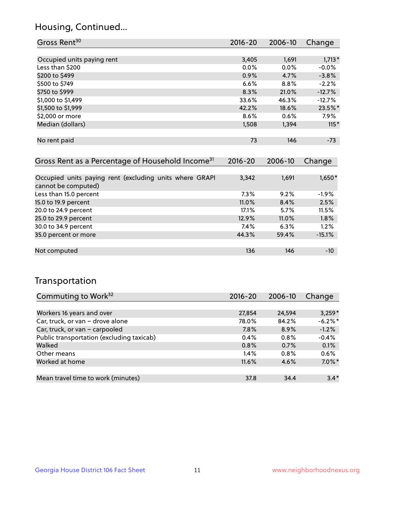## Housing, Continued...

| Gross Rent <sup>30</sup>   | 2016-20 | 2006-10 | Change   |
|----------------------------|---------|---------|----------|
|                            |         |         |          |
| Occupied units paying rent | 3,405   | 1,691   | $1,713*$ |
| Less than \$200            | $0.0\%$ | $0.0\%$ | $-0.0%$  |
| \$200 to \$499             | 0.9%    | 4.7%    | $-3.8%$  |
| \$500 to \$749             | 6.6%    | 8.8%    | $-2.2%$  |
| \$750 to \$999             | 8.3%    | 21.0%   | $-12.7%$ |
| \$1,000 to \$1,499         | 33.6%   | 46.3%   | $-12.7%$ |
| \$1,500 to \$1,999         | 42.2%   | 18.6%   | 23.5%*   |
| \$2,000 or more            | 8.6%    | 0.6%    | $7.9\%$  |
| Median (dollars)           | 1,508   | 1,394   | $115*$   |
|                            |         |         |          |
| No rent paid               | 73      | 146     | $-73$    |
|                            |         |         |          |

| Gross Rent as a Percentage of Household Income <sup>31</sup>                   | $2016 - 20$ | 2006-10 | Change   |
|--------------------------------------------------------------------------------|-------------|---------|----------|
|                                                                                |             |         |          |
| Occupied units paying rent (excluding units where GRAPI<br>cannot be computed) | 3,342       | 1,691   | 1,650*   |
| Less than 15.0 percent                                                         | 7.3%        | 9.2%    | $-1.9%$  |
| 15.0 to 19.9 percent                                                           | 11.0%       | 8.4%    | 2.5%     |
| 20.0 to 24.9 percent                                                           | 17.1%       | 5.7%    | 11.5%    |
| 25.0 to 29.9 percent                                                           | 12.9%       | 11.0%   | 1.8%     |
| 30.0 to 34.9 percent                                                           | 7.4%        | 6.3%    | 1.2%     |
| 35.0 percent or more                                                           | 44.3%       | 59.4%   | $-15.1%$ |
|                                                                                |             |         |          |
| Not computed                                                                   | 136         | 146     | -10      |

## Transportation

| Commuting to Work <sup>32</sup>           | 2016-20 | 2006-10 | Change    |
|-------------------------------------------|---------|---------|-----------|
|                                           |         |         |           |
| Workers 16 years and over                 | 27,854  | 24,594  | $3,259*$  |
| Car, truck, or van - drove alone          | 78.0%   | 84.2%   | $-6.2%$   |
| Car, truck, or van - carpooled            | 7.8%    | 8.9%    | $-1.2%$   |
| Public transportation (excluding taxicab) | 0.4%    | $0.8\%$ | $-0.4%$   |
| Walked                                    | 0.8%    | 0.7%    | 0.1%      |
| Other means                               | 1.4%    | $0.8\%$ | 0.6%      |
| Worked at home                            | 11.6%   | 4.6%    | $7.0\%$ * |
|                                           |         |         |           |
| Mean travel time to work (minutes)        | 37.8    | 34.4    | $3.4*$    |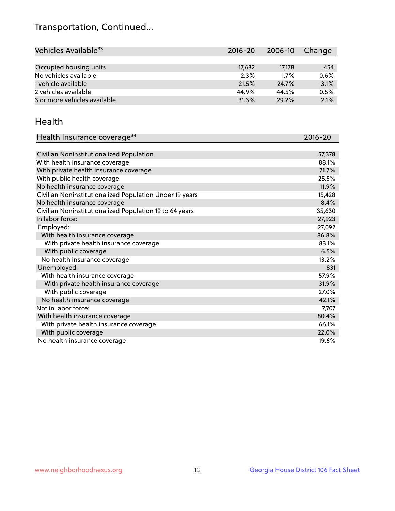## Transportation, Continued...

| Vehicles Available <sup>33</sup> | 2016-20 | 2006-10 | Change  |
|----------------------------------|---------|---------|---------|
|                                  |         |         |         |
| Occupied housing units           | 17,632  | 17,178  | 454     |
| No vehicles available            | 2.3%    | 1.7%    | 0.6%    |
| 1 vehicle available              | 21.5%   | 24.7%   | $-3.1%$ |
| 2 vehicles available             | 44.9%   | 44.5%   | 0.5%    |
| 3 or more vehicles available     | 31.3%   | 29.2%   | 2.1%    |

#### Health

| Health Insurance coverage <sup>34</sup>                 | 2016-20 |
|---------------------------------------------------------|---------|
|                                                         |         |
| Civilian Noninstitutionalized Population                | 57,378  |
| With health insurance coverage                          | 88.1%   |
| With private health insurance coverage                  | 71.7%   |
| With public health coverage                             | 25.5%   |
| No health insurance coverage                            | 11.9%   |
| Civilian Noninstitutionalized Population Under 19 years | 15,428  |
| No health insurance coverage                            | 8.4%    |
| Civilian Noninstitutionalized Population 19 to 64 years | 35,630  |
| In labor force:                                         | 27,923  |
| Employed:                                               | 27,092  |
| With health insurance coverage                          | 86.8%   |
| With private health insurance coverage                  | 83.1%   |
| With public coverage                                    | 6.5%    |
| No health insurance coverage                            | 13.2%   |
| Unemployed:                                             | 831     |
| With health insurance coverage                          | 57.9%   |
| With private health insurance coverage                  | 31.9%   |
| With public coverage                                    | 27.0%   |
| No health insurance coverage                            | 42.1%   |
| Not in labor force:                                     | 7,707   |
| With health insurance coverage                          | 80.4%   |
| With private health insurance coverage                  | 66.1%   |
| With public coverage                                    | 22.0%   |
| No health insurance coverage                            | 19.6%   |